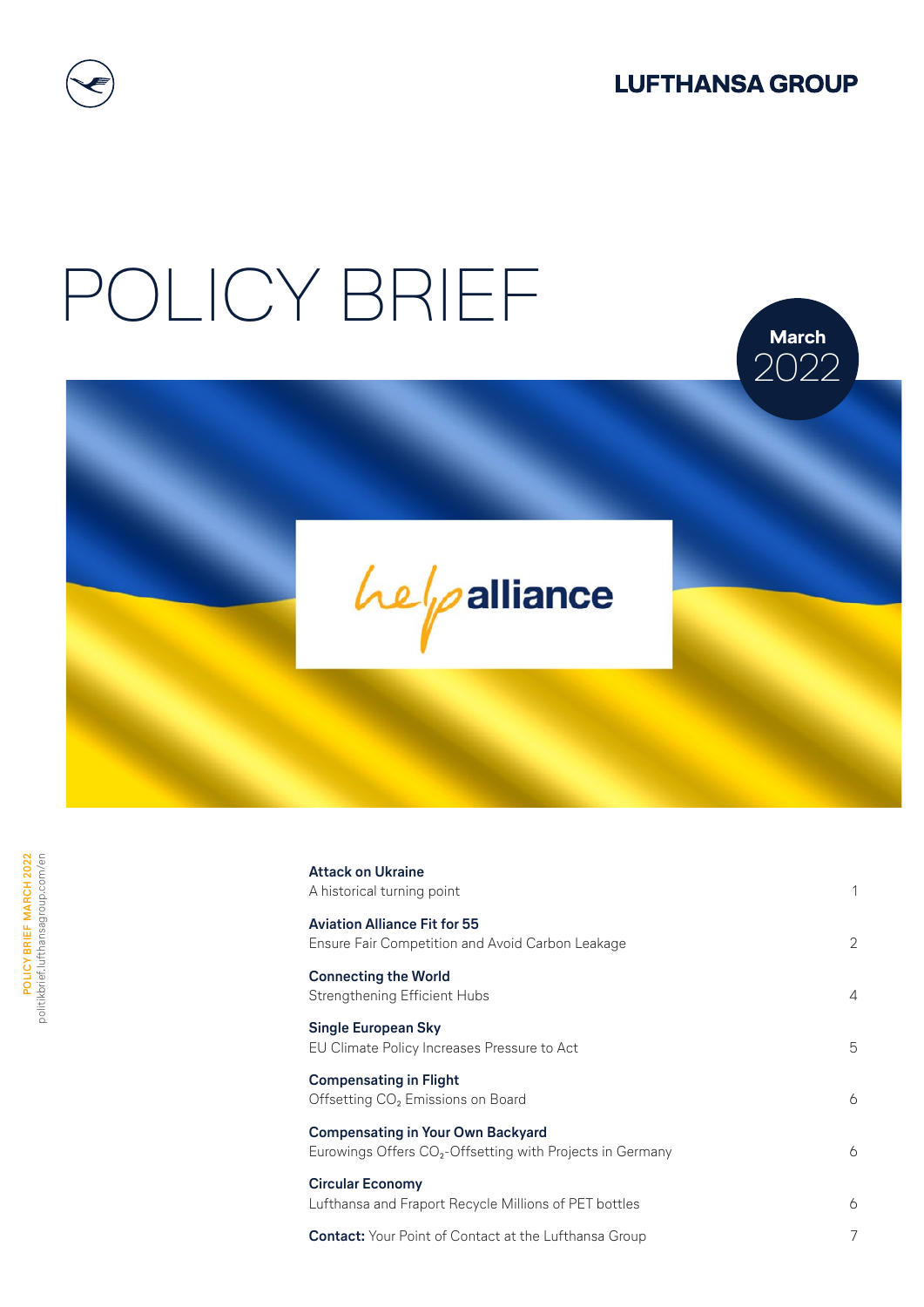

**March** 2022

# POLICY BRIEF



| <b>Attack on Ukraine</b><br>A historical turning point                                                            | 1              |
|-------------------------------------------------------------------------------------------------------------------|----------------|
| <b>Aviation Alliance Fit for 55</b><br><b>Ensure Fair Competition and Avoid Carbon Leakage</b>                    | $\overline{2}$ |
| <b>Connecting the World</b><br>Strengthening Efficient Hubs                                                       | 4              |
| <b>Single European Sky</b><br>EU Climate Policy Increases Pressure to Act                                         | 5              |
| <b>Compensating in Flight</b><br>Offsetting CO <sub>2</sub> Emissions on Board                                    | 6              |
| <b>Compensating in Your Own Backyard</b><br>Eurowings Offers CO <sub>2</sub> -Offsetting with Projects in Germany | 6              |
| <b>Circular Economy</b><br>Lufthansa and Fraport Recycle Millions of PET bottles                                  | 6              |
| <b>Contact:</b> Your Point of Contact at the Lufthansa Group                                                      | 7              |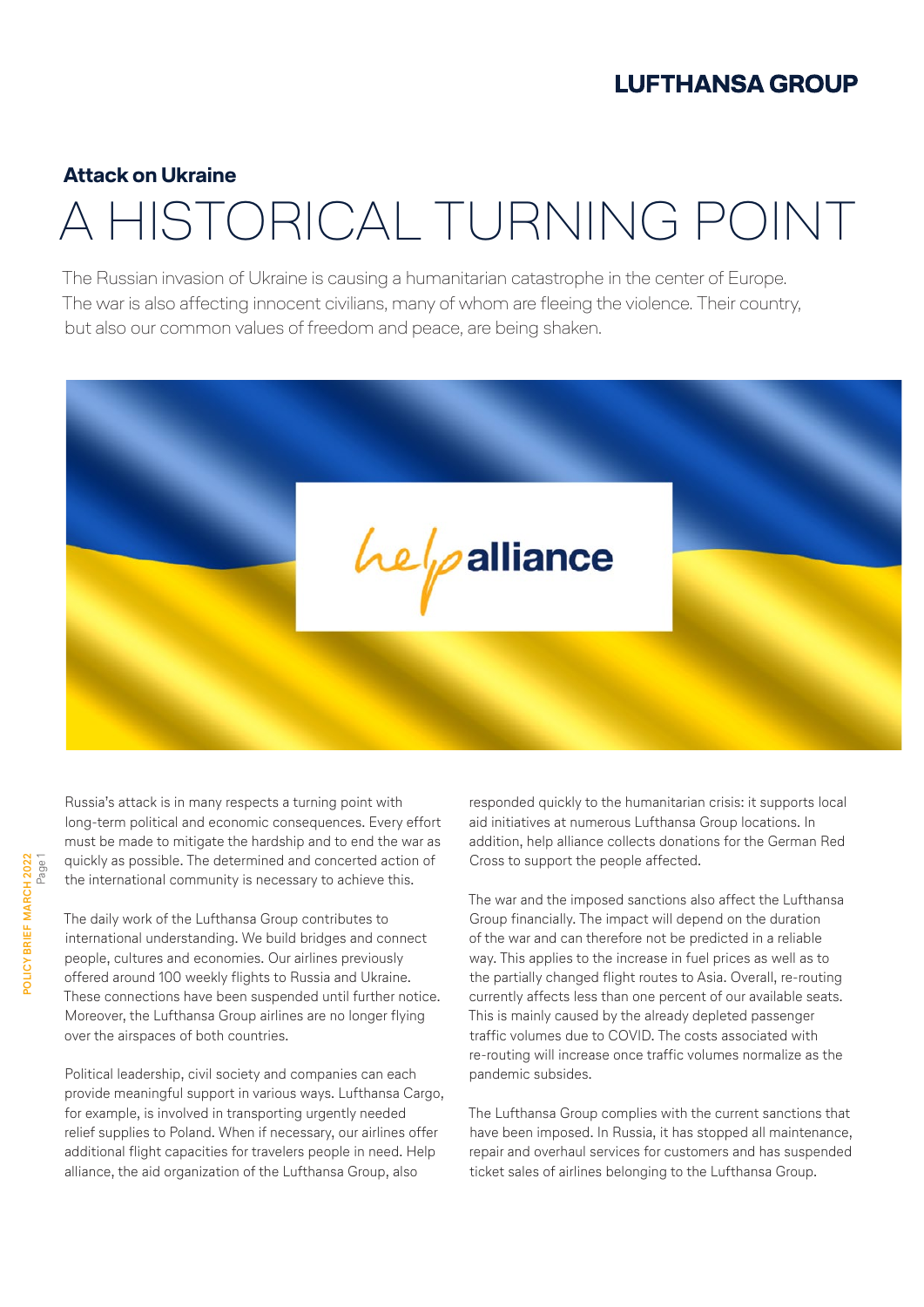#### **Attack on Ukraine**

### A HISTORICAL TURNING POINT

The Russian invasion of Ukraine is causing a humanitarian catastrophe in the center of Europe. The war is also affecting innocent civilians, many of whom are fleeing the violence. Their country, but also our common values of freedom and peace, are being shaken.



Russia's attack is in many respects a turning point with long-term political and economic consequences. Every effort must be made to mitigate the hardship and to end the war as quickly as possible. The determined and concerted action of the international community is necessary to achieve this.

The daily work of the Lufthansa Group contributes to international understanding. We build bridges and connect people, cultures and economies. Our airlines previously offered around 100 weekly flights to Russia and Ukraine. These connections have been suspended until further notice. Moreover, the Lufthansa Group airlines are no longer flying over the airspaces of both countries.

Political leadership, civil society and companies can each provide meaningful support in various ways. Lufthansa Cargo, for example, is involved in transporting urgently needed relief supplies to Poland. When if necessary, our airlines offer additional flight capacities for travelers people in need. Help alliance, the aid organization of the Lufthansa Group, also

responded quickly to the humanitarian crisis: it supports local aid initiatives at numerous Lufthansa Group locations. In addition, help alliance collects donations for the German Red Cross to support the people affected.

The war and the imposed sanctions also affect the Lufthansa Group financially. The impact will depend on the duration of the war and can therefore not be predicted in a reliable way. This applies to the increase in fuel prices as well as to the partially changed flight routes to Asia. Overall, re-routing currently affects less than one percent of our available seats. This is mainly caused by the already depleted passenger traffic volumes due to COVID. The costs associated with re-routing will increase once traffic volumes normalize as the pandemic subsides.

The Lufthansa Group complies with the current sanctions that have been imposed. In Russia, it has stopped all maintenance, repair and overhaul services for customers and has suspended ticket sales of airlines belonging to the Lufthansa Group.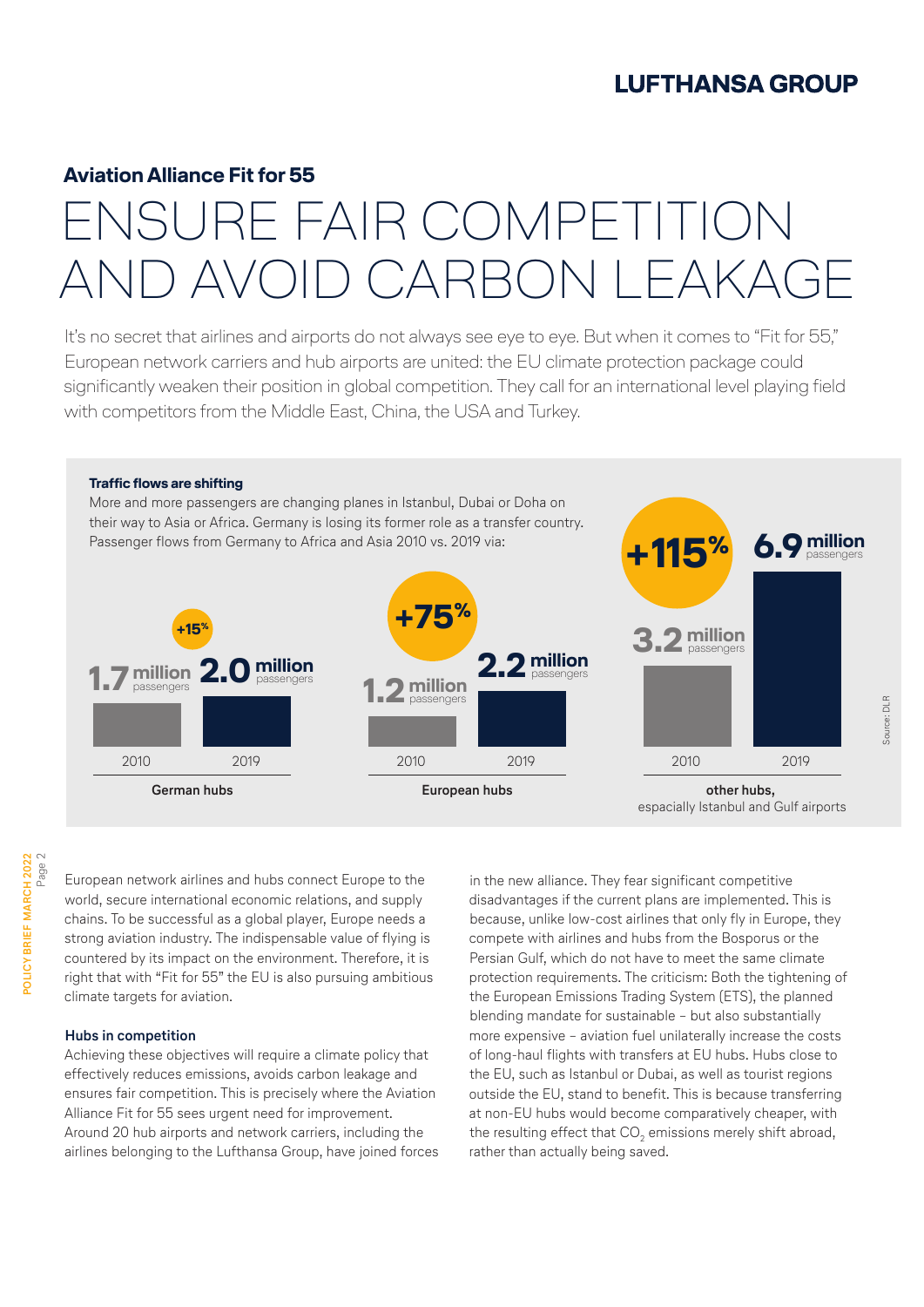#### **Aviation Alliance Fit for 55**

### ENSURE FAIR COMPETITION AND AVOID CARBON LEAKAGE

It's no secret that airlines and airports do not always see eye to eye. But when it comes to "Fit for 55," European network carriers and hub airports are united: the EU climate protection package could significantly weaken their position in global competition. They call for an international level playing field with competitors from the Middle East, China, the USA and Turkey.



European network airlines and hubs connect Europe to the world, secure international economic relations, and supply chains. To be successful as a global player, Europe needs a strong aviation industry. The indispensable value of flying is countered by its impact on the environment. Therefore, it is right that with "Fit for 55" the EU is also pursuing ambitious climate targets for aviation.

#### **Hubs in competition**

Achieving these objectives will require a climate policy that effectively reduces emissions, avoids carbon leakage and ensures fair competition. This is precisely where the Aviation Alliance Fit for 55 sees urgent need for improvement. Around 20 hub airports and network carriers, including the airlines belonging to the Lufthansa Group, have joined forces in the new alliance. They fear significant competitive disadvantages if the current plans are implemented. This is because, unlike low-cost airlines that only fly in Europe, they compete with airlines and hubs from the Bosporus or the Persian Gulf, which do not have to meet the same climate protection requirements. The criticism: Both the tightening of the European Emissions Trading System (ETS), the planned blending mandate for sustainable – but also substantially more expensive – aviation fuel unilaterally increase the costs of long-haul flights with transfers at EU hubs. Hubs close to the EU, such as Istanbul or Dubai, as well as tourist regions outside the EU, stand to benefit. This is because transferring at non-EU hubs would become comparatively cheaper, with the resulting effect that CO<sub>2</sub> emissions merely shift abroad, rather than actually being saved.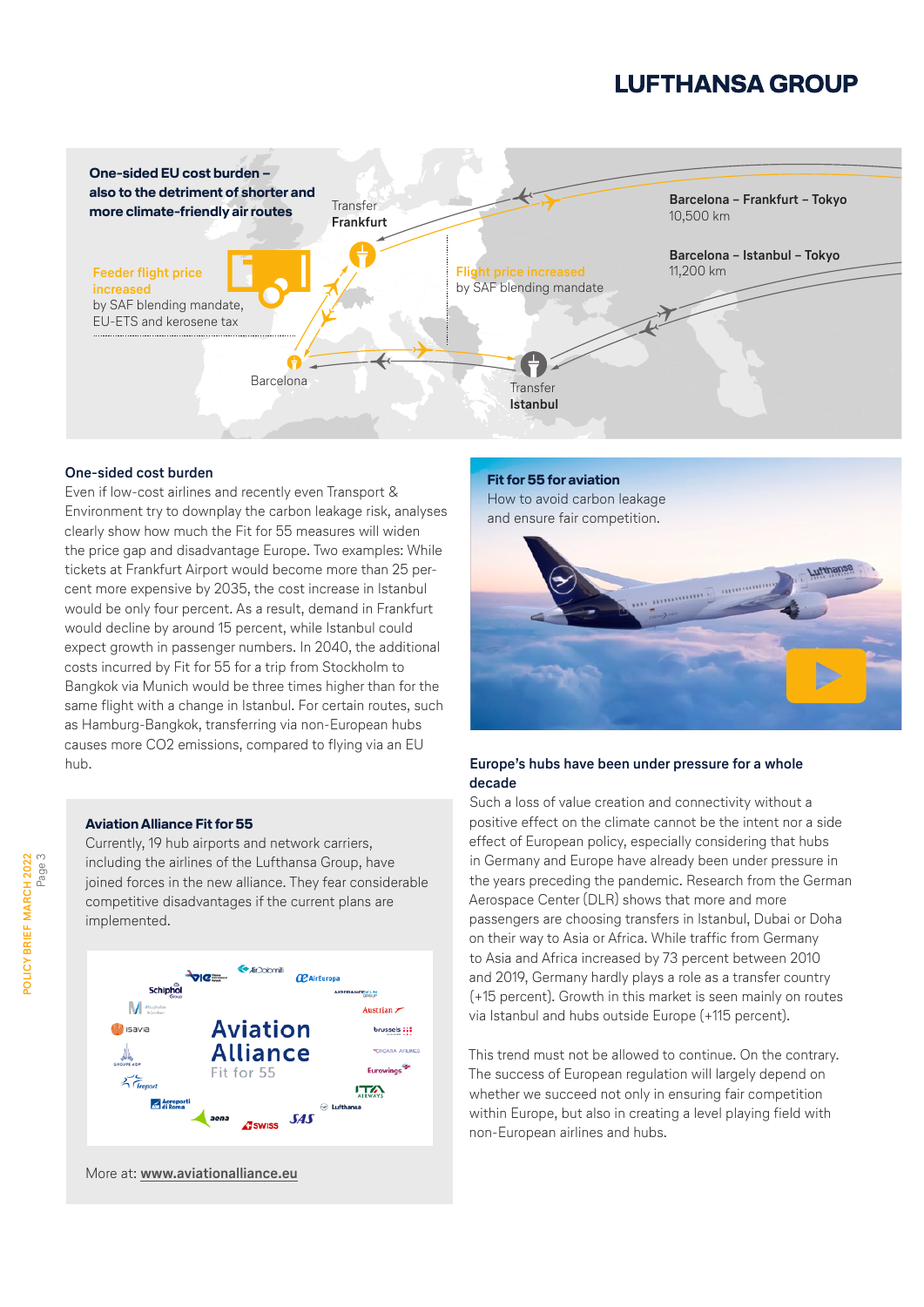

#### **One-sided cost burden**

Even if low-cost airlines and recently even Transport & Environment try to downplay the carbon leakage risk, analyses clearly show how much the Fit for 55 measures will widen the price gap and disadvantage Europe. Two examples: While tickets at Frankfurt Airport would become more than 25 percent more expensive by 2035, the cost increase in Istanbul would be only four percent. As a result, demand in Frankfurt would decline by around 15 percent, while Istanbul could expect growth in passenger numbers. In 2040, the additional costs incurred by Fit for 55 for a trip from Stockholm to Bangkok via Munich would be three times higher than for the same flight with a change in Istanbul. For certain routes, such as Hamburg-Bangkok, transferring via non-European hubs causes more CO2 emissions, compared to flying via an EU hub. **Europe's hubs have been under pressure for a whole** 

#### **Aviation Alliance Fit for 55**

Currently, 19 hub airports and network carriers, including the airlines of the Lufthansa Group, have joined forces in the new alliance. They fear considerable competitive disadvantages if the current plans are implemented.



More at: **[www.aviationalliance.eu](http://www.aviationalliance.eu)**

**Fit for 55 for aviation** [How to avoid carbon leakage](https://politikbrief.lufthansagroup.com/fileadmin/user_upload/2022-feb/art1/LH_FitFor55_DE.mp4)  and ensure fair competition.



### **decade**

Such a loss of value creation and connectivity without a positive effect on the climate cannot be the intent nor a side effect of European policy, especially considering that hubs in Germany and Europe have already been under pressure in the years preceding the pandemic. Research from the German Aerospace Center (DLR) shows that more and more passengers are choosing transfers in Istanbul, Dubai or Doha on their way to Asia or Africa. While traffic from Germany to Asia and Africa increased by 73 percent between 2010 and 2019, Germany hardly plays a role as a transfer country (+15 percent). Growth in this market is seen mainly on routes via Istanbul and hubs outside Europe (+115 percent).

This trend must not be allowed to continue. On the contrary. The success of European regulation will largely depend on whether we succeed not only in ensuring fair competition within Europe, but also in creating a level playing field with non-European airlines and hubs.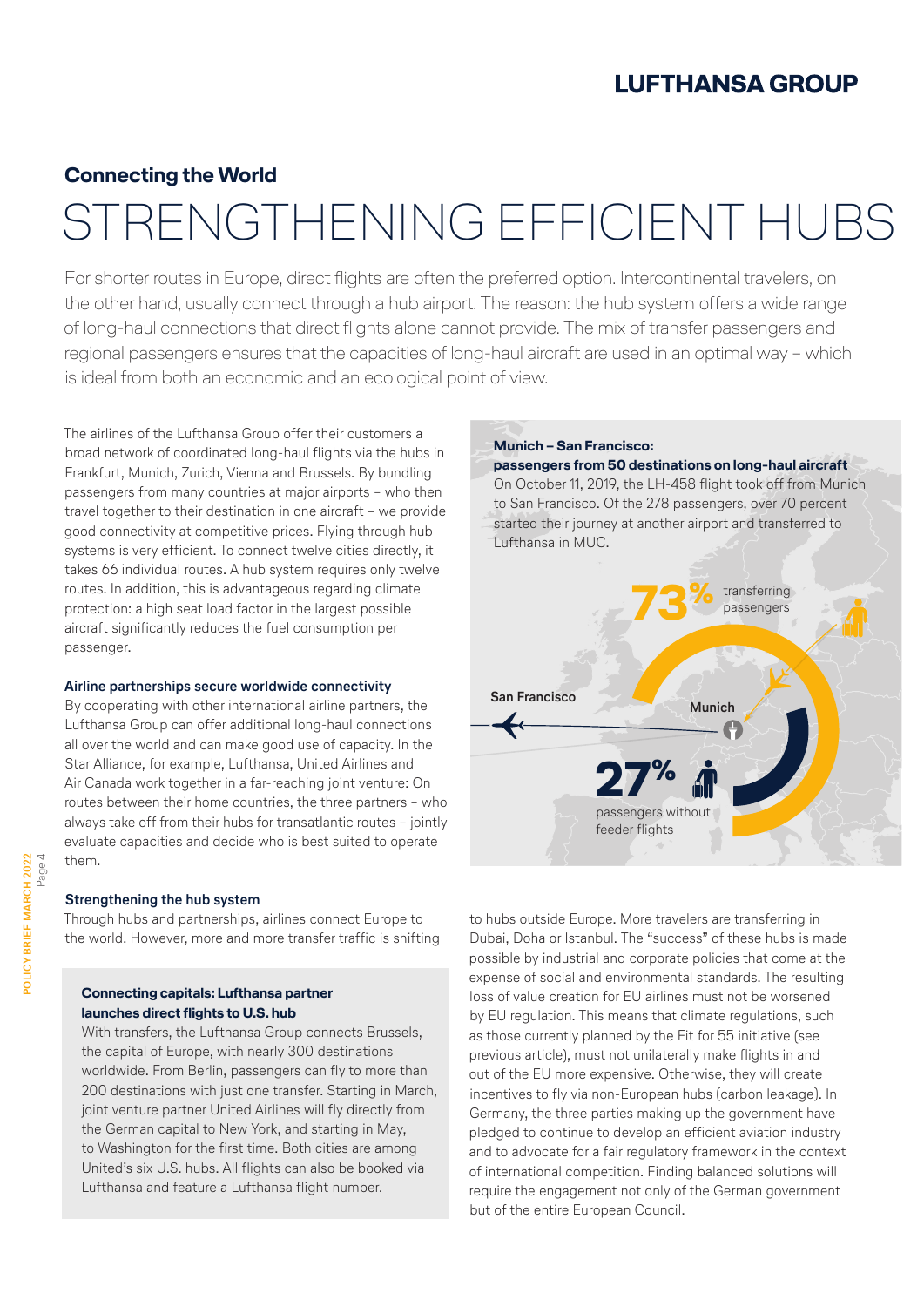#### **Connecting the World**

### STRENGTHENING EFFICIENT HUBS

For shorter routes in Europe, direct flights are often the preferred option. Intercontinental travelers, on the other hand, usually connect through a hub airport. The reason: the hub system offers a wide range of long-haul connections that direct flights alone cannot provide. The mix of transfer passengers and regional passengers ensures that the capacities of long-haul aircraft are used in an optimal way – which is ideal from both an economic and an ecological point of view.

The airlines of the Lufthansa Group offer their customers a broad network of coordinated long-haul flights via the hubs in Frankfurt, Munich, Zurich, Vienna and Brussels. By bundling passengers from many countries at major airports – who then travel together to their destination in one aircraft – we provide good connectivity at competitive prices. Flying through hub systems is very efficient. To connect twelve cities directly, it takes 66 individual routes. A hub system requires only twelve routes. In addition, this is advantageous regarding climate protection: a high seat load factor in the largest possible aircraft significantly reduces the fuel consumption per passenger.

#### **Airline partnerships secure worldwide connectivity**

By cooperating with other international airline partners, the Lufthansa Group can offer additional long-haul connections all over the world and can make good use of capacity. In the Star Alliance, for example, Lufthansa, United Airlines and Air Canada work together in a far-reaching joint venture: On routes between their home countries, the three partners – who always take off from their hubs for transatlantic routes – jointly evaluate capacities and decide who is best suited to operate them.

#### **Strengthening the hub system**

Through hubs and partnerships, airlines connect Europe to the world. However, more and more transfer traffic is shifting

#### **Connecting capitals: Lufthansa partner launches direct flights to U.S. hub**

With transfers, the Lufthansa Group connects Brussels, the capital of Europe, with nearly 300 destinations worldwide. From Berlin, passengers can fly to more than 200 destinations with just one transfer. Starting in March, joint venture partner United Airlines will fly directly from the German capital to New York, and starting in May, to Washington for the first time. Both cities are among United's six U.S. hubs. All flights can also be booked via Lufthansa and feature a Lufthansa flight number.



to hubs outside Europe. More travelers are transferring in Dubai, Doha or Istanbul. The "success" of these hubs is made possible by industrial and corporate policies that come at the expense of social and environmental standards. The resulting loss of value creation for EU airlines must not be worsened by EU regulation. This means that climate regulations, such as those currently planned by the Fit for 55 initiative (see previous article), must not unilaterally make flights in and out of the EU more expensive. Otherwise, they will create incentives to fly via non-European hubs (carbon leakage). In Germany, the three parties making up the government have pledged to continue to develop an efficient aviation industry and to advocate for a fair regulatory framework in the context of international competition. Finding balanced solutions will require the engagement not only of the German government but of the entire European Council.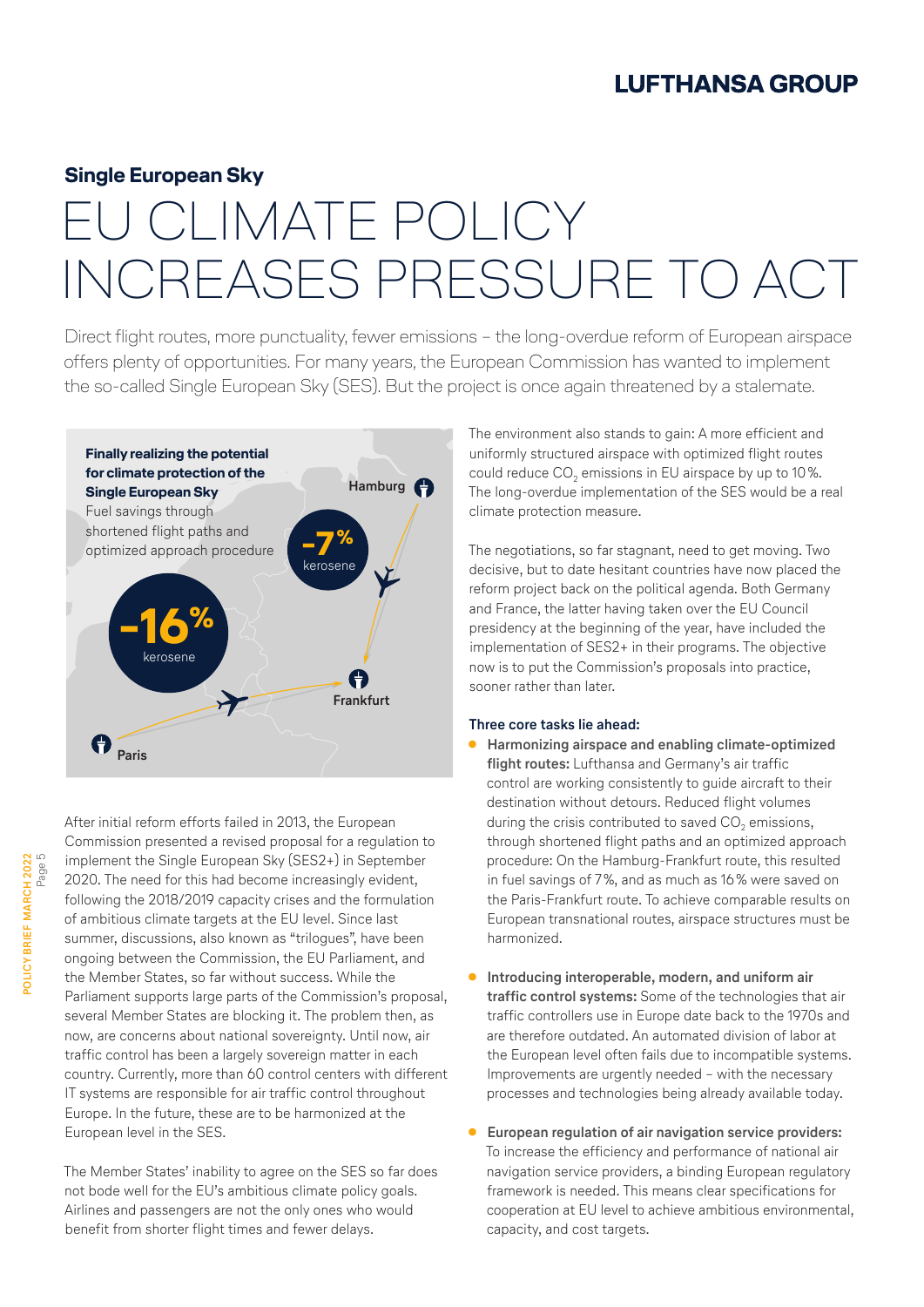#### **Single European Sky**

### EU CLIMATE POLICY INCREASES PRESSURE TO ACT

Direct flight routes, more punctuality, fewer emissions – the long-overdue reform of European airspace offers plenty of opportunities. For many years, the European Commission has wanted to implement the so-called Single European Sky (SES). But the project is once again threatened by a stalemate.



**POLICY BRIEF MARCH 2022** POLICY BRIEF MARCH 2022<br>Page 5 After initial reform efforts failed in 2013, the European Commission presented a revised proposal for a regulation to implement the Single European Sky (SES2+) in September 2020. The need for this had become increasingly evident, following the 2018/2019 capacity crises and the formulation of ambitious climate targets at the EU level. Since last summer, discussions, also known as "trilogues", have been ongoing between the Commission, the EU Parliament, and the Member States, so far without success. While the Parliament supports large parts of the Commission's proposal, several Member States are blocking it. The problem then, as now, are concerns about national sovereignty. Until now, air traffic control has been a largely sovereign matter in each country. Currently, more than 60 control centers with different IT systems are responsible for air traffic control throughout Europe. In the future, these are to be harmonized at the European level in the SES.

The Member States' inability to agree on the SES so far does not bode well for the EU's ambitious climate policy goals. Airlines and passengers are not the only ones who would benefit from shorter flight times and fewer delays.

The environment also stands to gain: A more efficient and uniformly structured airspace with optimized flight routes could reduce  $CO<sub>2</sub>$  emissions in EU airspace by up to 10%. The long-overdue implementation of the SES would be a real climate protection measure.

The negotiations, so far stagnant, need to get moving. Two decisive, but to date hesitant countries have now placed the reform project back on the political agenda. Both Germany and France, the latter having taken over the EU Council presidency at the beginning of the year, have included the implementation of SES2+ in their programs. The objective now is to put the Commission's proposals into practice, sooner rather than later.

#### **Three core tasks lie ahead:**

- **● Harmonizing airspace and enabling climate-optimized flight routes:** Lufthansa and Germany's air traffic control are working consistently to guide aircraft to their destination without detours. Reduced flight volumes during the crisis contributed to saved  $CO<sub>2</sub>$  emissions, through shortened flight paths and an optimized approach procedure: On the Hamburg-Frankfurt route, this resulted in fuel savings of 7%, and as much as 16% were saved on the Paris-Frankfurt route. To achieve comparable results on European transnational routes, airspace structures must be harmonized.
- **● Introducing interoperable, modern, and uniform air traffic control systems:** Some of the technologies that air traffic controllers use in Europe date back to the 1970s and are therefore outdated. An automated division of labor at the European level often fails due to incompatible systems. Improvements are urgently needed – with the necessary processes and technologies being already available today.
- **● European regulation of air navigation service providers:**  To increase the efficiency and performance of national air navigation service providers, a binding European regulatory framework is needed. This means clear specifications for cooperation at EU level to achieve ambitious environmental, capacity, and cost targets.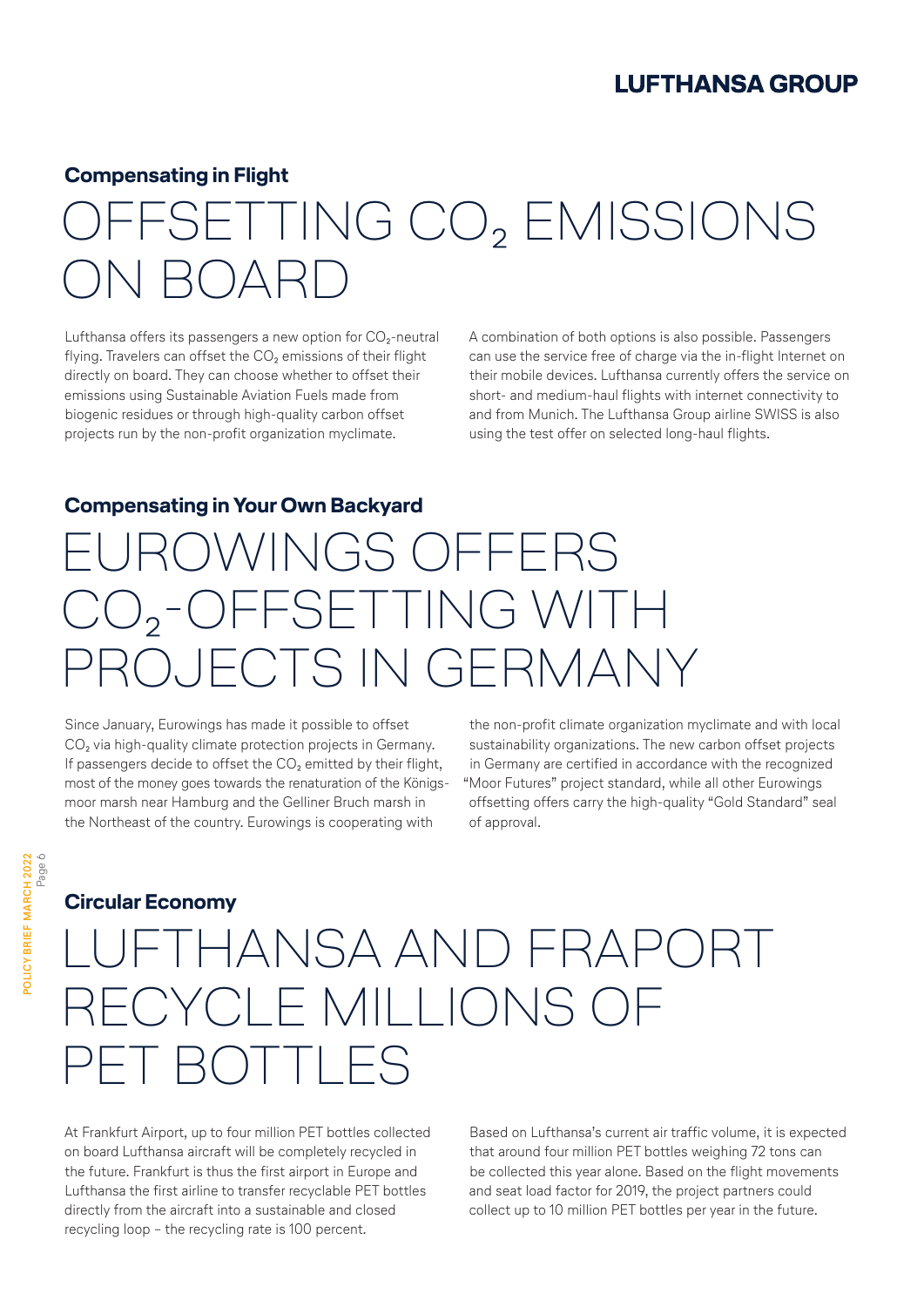#### **Compensating in Flight**

### ETTING CO<sub>2</sub> EMISSIONS ON BOARD

Lufthansa offers its passengers a new option for  $CO<sub>2</sub>$ -neutral flying. Travelers can offset the CO<sub>2</sub> emissions of their flight directly on board. They can choose whether to offset their emissions using Sustainable Aviation Fuels made from biogenic residues or through high-quality carbon offset projects run by the non-profit organization myclimate.

A combination of both options is also possible. Passengers can use the service free of charge via the in-flight Internet on their mobile devices. Lufthansa currently offers the service on short- and medium-haul flights with internet connectivity to and from Munich. The Lufthansa Group airline SWISS is also using the test offer on selected long-haul flights.

#### **Compensating in Your Own Backyard**

### ROWINGS OFFERS CO₂-OFFSETTING WITH ROJECTS IN GERMANY

Since January, Eurowings has made it possible to offset CO<sub>2</sub> via high-quality climate protection projects in Germany. If passengers decide to offset the CO<sub>2</sub> emitted by their flight, most of the money goes towards the renaturation of the Königsmoor marsh near Hamburg and the Gelliner Bruch marsh in the Northeast of the country. Eurowings is cooperating with

the non-profit climate organization myclimate and with local sustainability organizations. The new carbon offset projects in Germany are certified in accordance with the recognized "Moor Futures" project standard, while all other Eurowings offsetting offers carry the high-quality "Gold Standard" seal of approval.

#### **Circular Economy**

### FTHANSA AND FRAPORT RECYCLE MILLIONS OF PET BOTTLES

At Frankfurt Airport, up to four million PET bottles collected on board Lufthansa aircraft will be completely recycled in the future. Frankfurt is thus the first airport in Europe and Lufthansa the first airline to transfer recyclable PET bottles directly from the aircraft into a sustainable and closed recycling loop – the recycling rate is 100 percent.

Based on Lufthansa's current air traffic volume, it is expected that around four million PET bottles weighing 72 tons can be collected this year alone. Based on the flight movements and seat load factor for 2019, the project partners could collect up to 10 million PET bottles per year in the future.